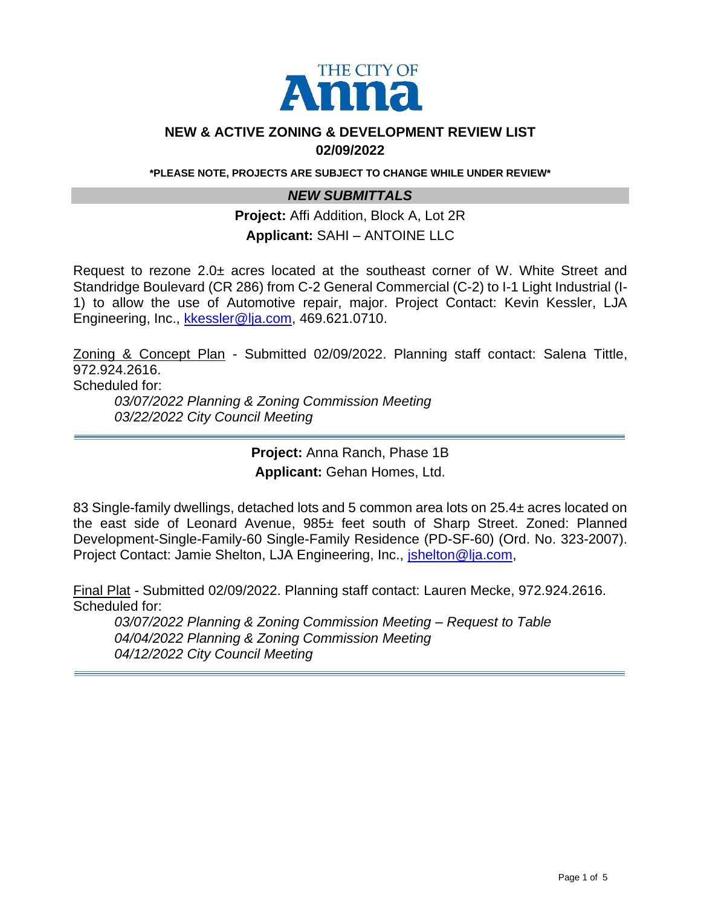

### **NEW & ACTIVE ZONING & DEVELOPMENT REVIEW LIST 02/09/2022**

**\*PLEASE NOTE, PROJECTS ARE SUBJECT TO CHANGE WHILE UNDER REVIEW\***

## *NEW SUBMITTALS*

**Project:** Affi Addition, Block A, Lot 2R **Applicant:** SAHI – ANTOINE LLC

Request to rezone 2.0± acres located at the southeast corner of W. White Street and Standridge Boulevard (CR 286) from C-2 General Commercial (C-2) to I-1 Light Industrial (I-1) to allow the use of Automotive repair, major. Project Contact: Kevin Kessler, LJA Engineering, Inc., [kkessler@lja.com,](mailto:kkessler@lja.com) 469.621.0710.

Zoning & Concept Plan - Submitted 02/09/2022. Planning staff contact: Salena Tittle, 972.924.2616.

Scheduled for:

*03/07/2022 Planning & Zoning Commission Meeting 03/22/2022 City Council Meeting* 

> **Project:** Anna Ranch, Phase 1B **Applicant:** Gehan Homes, Ltd.

83 Single-family dwellings, detached lots and 5 common area lots on 25.4± acres located on the east side of Leonard Avenue, 985± feet south of Sharp Street. Zoned: Planned Development-Single-Family-60 Single-Family Residence (PD-SF-60) (Ord. No. 323-2007). Project Contact: Jamie Shelton, LJA Engineering, Inc., [jshelton@lja.com,](mailto:jshelton@lja.com)

Final Plat - Submitted 02/09/2022. Planning staff contact: Lauren Mecke, 972.924.2616. Scheduled for:

*03/07/2022 Planning & Zoning Commission Meeting – Request to Table 04/04/2022 Planning & Zoning Commission Meeting 04/12/2022 City Council Meeting*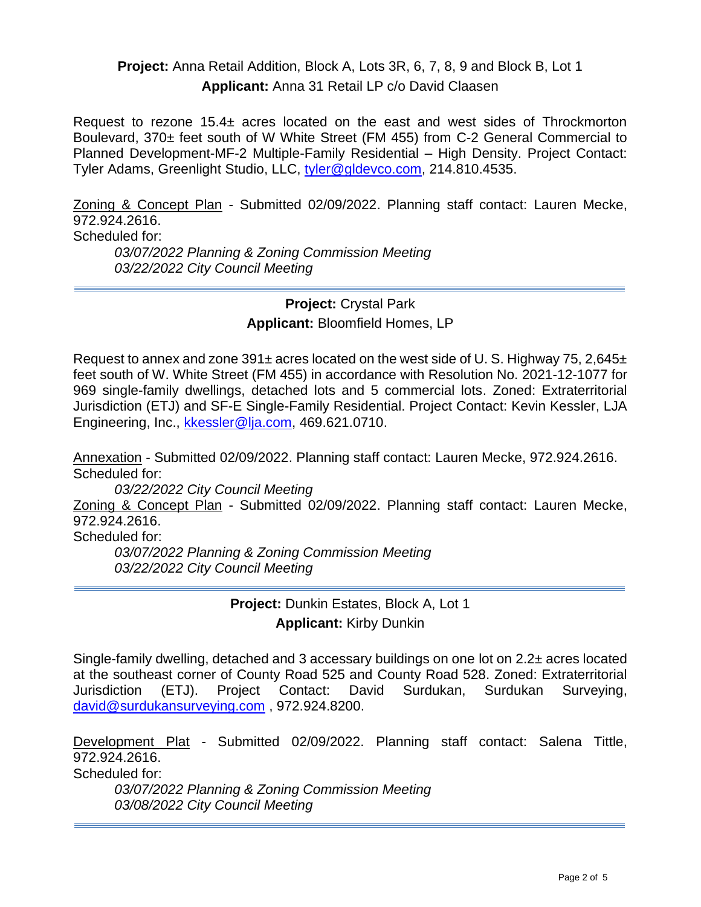## **Project:** Anna Retail Addition, Block A, Lots 3R, 6, 7, 8, 9 and Block B, Lot 1 **Applicant:** Anna 31 Retail LP c/o David Claasen

Request to rezone  $15.4\pm$  acres located on the east and west sides of Throckmorton Boulevard, 370± feet south of W White Street (FM 455) from C-2 General Commercial to Planned Development-MF-2 Multiple-Family Residential – High Density. Project Contact: Tyler Adams, Greenlight Studio, LLC, [tyler@gldevco.com,](mailto:tyler@gldevco.com) 214.810.4535.

Zoning & Concept Plan - Submitted 02/09/2022. Planning staff contact: Lauren Mecke, 972.924.2616. Scheduled for: *03/07/2022 Planning & Zoning Commission Meeting 03/22/2022 City Council Meeting* 

> **Project:** Crystal Park **Applicant:** Bloomfield Homes, LP

Request to annex and zone  $391\pm$  acres located on the west side of U. S. Highway 75, 2,645 $\pm$ feet south of W. White Street (FM 455) in accordance with Resolution No. 2021-12-1077 for 969 single-family dwellings, detached lots and 5 commercial lots. Zoned: Extraterritorial Jurisdiction (ETJ) and SF-E Single-Family Residential. Project Contact: Kevin Kessler, LJA Engineering, Inc., [kkessler@lja.com,](mailto:kkessler@lja.com) 469.621.0710.

Annexation - Submitted 02/09/2022. Planning staff contact: Lauren Mecke, 972.924.2616. Scheduled for:

*03/22/2022 City Council Meeting* 

Zoning & Concept Plan - Submitted 02/09/2022. Planning staff contact: Lauren Mecke, 972.924.2616.

Scheduled for:

*03/07/2022 Planning & Zoning Commission Meeting 03/22/2022 City Council Meeting* 

> **Project:** Dunkin Estates, Block A, Lot 1 **Applicant:** Kirby Dunkin

Single-family dwelling, detached and 3 accessary buildings on one lot on 2.2± acres located at the southeast corner of County Road 525 and County Road 528. Zoned: Extraterritorial Jurisdiction (ETJ). Project Contact: David Surdukan, Surdukan Surveying, [david@surdukansurveying.com](mailto:david@surdukansurveying.com) , 972.924.8200.

Development Plat - Submitted 02/09/2022. Planning staff contact: Salena Tittle, 972.924.2616.

Scheduled for:

*03/07/2022 Planning & Zoning Commission Meeting 03/08/2022 City Council Meeting*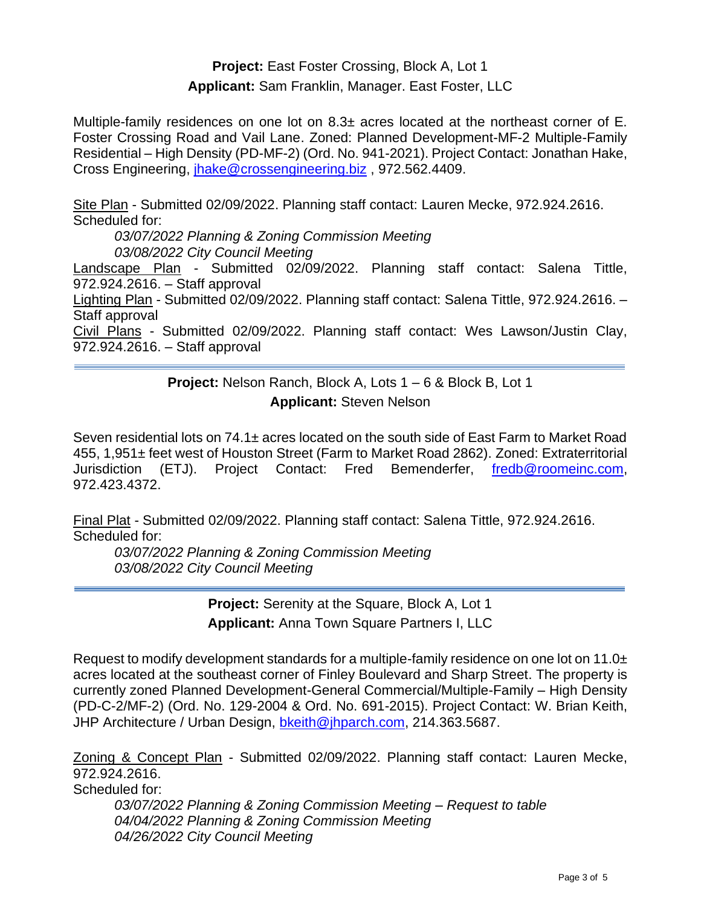# **Project:** East Foster Crossing, Block A, Lot 1 **Applicant:** Sam Franklin, Manager. East Foster, LLC

Multiple-family residences on one lot on  $8.3\pm$  acres located at the northeast corner of E. Foster Crossing Road and Vail Lane. Zoned: Planned Development-MF-2 Multiple-Family Residential – High Density (PD-MF-2) (Ord. No. 941-2021). Project Contact: Jonathan Hake, Cross Engineering, [jhake@crossengineering.biz](mailto:jhake@crossengineering.biz) , 972.562.4409.

Site Plan - Submitted 02/09/2022. Planning staff contact: Lauren Mecke, 972.924.2616. Scheduled for:

*03/07/2022 Planning & Zoning Commission Meeting 03/08/2022 City Council Meeting* 

Landscape Plan - Submitted 02/09/2022. Planning staff contact: Salena Tittle, 972.924.2616. – Staff approval

Lighting Plan - Submitted 02/09/2022. Planning staff contact: Salena Tittle, 972.924.2616. – Staff approval

Civil Plans - Submitted 02/09/2022. Planning staff contact: Wes Lawson/Justin Clay, 972.924.2616. – Staff approval

# **Project:** Nelson Ranch, Block A, Lots 1 – 6 & Block B, Lot 1 **Applicant:** Steven Nelson

Seven residential lots on 74.1± acres located on the south side of East Farm to Market Road 455, 1,951± feet west of Houston Street (Farm to Market Road 2862). Zoned: Extraterritorial Jurisdiction (ETJ). Project Contact: Fred Bemenderfer, [fredb@roomeinc.com,](mailto:fredb@roomeinc.com) 972.423.4372.

Final Plat - Submitted 02/09/2022. Planning staff contact: Salena Tittle, 972.924.2616. Scheduled for:

*03/07/2022 Planning & Zoning Commission Meeting 03/08/2022 City Council Meeting* 

> **Project:** Serenity at the Square, Block A, Lot 1 **Applicant:** Anna Town Square Partners I, LLC

Request to modify development standards for a multiple-family residence on one lot on 11.0 $\pm$ acres located at the southeast corner of Finley Boulevard and Sharp Street. The property is currently zoned Planned Development-General Commercial/Multiple-Family – High Density (PD-C-2/MF-2) (Ord. No. 129-2004 & Ord. No. 691-2015). Project Contact: W. Brian Keith, JHP Architecture / Urban Design, [bkeith@jhparch.com,](mailto:bkeith@jhparch.com) 214.363.5687.

Zoning & Concept Plan - Submitted 02/09/2022. Planning staff contact: Lauren Mecke, 972.924.2616. Scheduled for:

*03/07/2022 Planning & Zoning Commission Meeting – Request to table 04/04/2022 Planning & Zoning Commission Meeting 04/26/2022 City Council Meeting*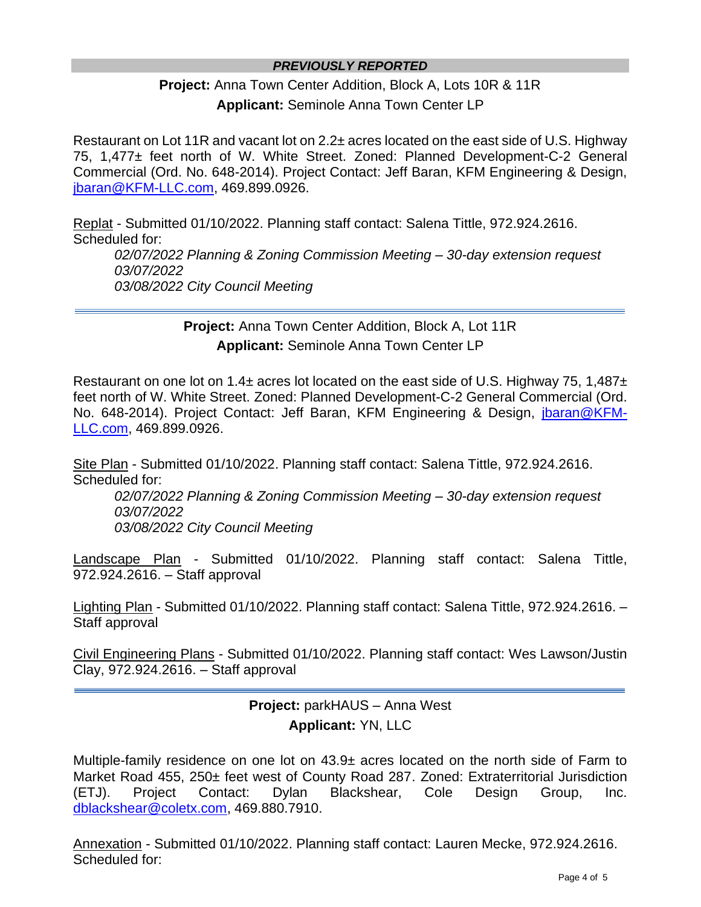### *PREVIOUSLY REPORTED*

**Project:** Anna Town Center Addition, Block A, Lots 10R & 11R **Applicant:** Seminole Anna Town Center LP

Restaurant on Lot 11R and vacant lot on 2.2± acres located on the east side of U.S. Highway 75, 1,477± feet north of W. White Street. Zoned: Planned Development-C-2 General Commercial (Ord. No. 648-2014). Project Contact: Jeff Baran, KFM Engineering & Design, [jbaran@KFM-LLC.com,](mailto:jbaran@KFM-LLC.com) 469.899.0926.

Replat - Submitted 01/10/2022. Planning staff contact: Salena Tittle, 972.924.2616. Scheduled for: *02/07/2022 Planning & Zoning Commission Meeting – 30-day extension request 03/07/2022 03/08/2022 City Council Meeting* 

> **Project:** Anna Town Center Addition, Block A, Lot 11R **Applicant:** Seminole Anna Town Center LP

Restaurant on one lot on 1.4 $\pm$  acres lot located on the east side of U.S. Highway 75, 1,487 $\pm$ feet north of W. White Street. Zoned: Planned Development-C-2 General Commercial (Ord. No. 648-2014). Project Contact: Jeff Baran, KFM Engineering & Design, [jbaran@KFM-](mailto:jbaran@KFM-LLC.com)[LLC.com,](mailto:jbaran@KFM-LLC.com) 469.899.0926.

Site Plan - Submitted 01/10/2022. Planning staff contact: Salena Tittle, 972.924.2616. Scheduled for:

*02/07/2022 Planning & Zoning Commission Meeting – 30-day extension request 03/07/2022 03/08/2022 City Council Meeting* 

Landscape Plan - Submitted 01/10/2022. Planning staff contact: Salena Tittle, 972.924.2616. – Staff approval

Lighting Plan - Submitted 01/10/2022. Planning staff contact: Salena Tittle, 972.924.2616. – Staff approval

Civil Engineering Plans - Submitted 01/10/2022. Planning staff contact: Wes Lawson/Justin Clay, 972.924.2616. – Staff approval

# **Project:** parkHAUS – Anna West **Applicant:** YN, LLC

Multiple-family residence on one lot on 43.9± acres located on the north side of Farm to Market Road 455, 250± feet west of County Road 287. Zoned: Extraterritorial Jurisdiction (ETJ). Project Contact: Dylan Blackshear, Cole Design Group, Inc. [dblackshear@coletx.com,](mailto:dblackshear@coletx.com) 469.880.7910.

Annexation - Submitted 01/10/2022. Planning staff contact: Lauren Mecke, 972.924.2616. Scheduled for: